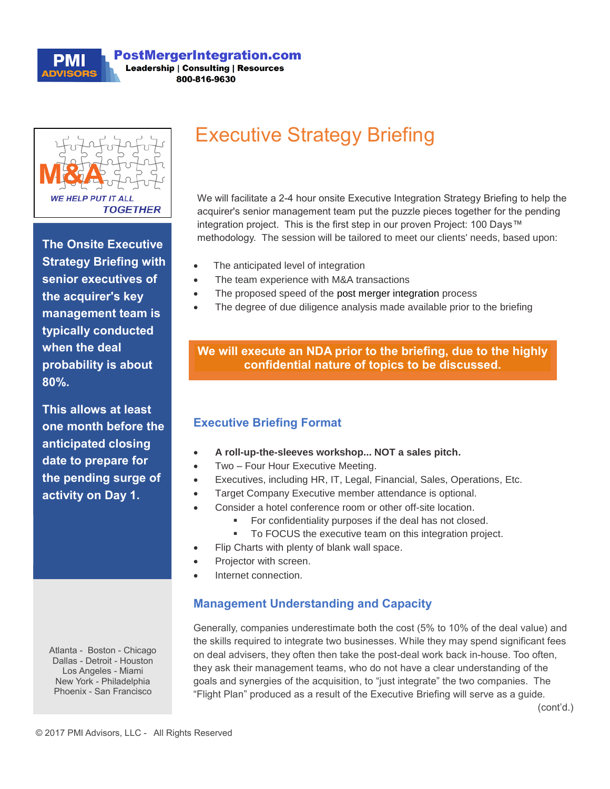

**PostMergerIntegration.com Leadership | Consulting | Resources** 800-816-9630



**The Onsite Executive Strategy Briefing with senior executives of the acquirer's key management team is typically conducted when the deal probability is about 80%.** 

**This allows at least one month before the anticipated closing date to prepare for the pending surge of activity on Day 1.**

# **Executive Strategy Briefing**

We will facilitate a 2-4 hour onsite Executive Integration Strategy Briefing to help the acquirer's senior management team put the puzzle pieces together for the pending integration project. This is the first step in our proven Project: 100 Days™ methodology. The session will be tailored to meet our clients' needs, based upon:

- The anticipated level of integration
- The team experience with M&A transactions
- The proposed speed of the post merger integration process
- The degree of due diligence analysis made available prior to the briefing

#### **We will execute an NDA prior to the briefing, due to the highly confidential nature of topics to be discussed.**

### **Executive Briefing Format**

- **A roll-up-the-sleeves workshop... NOT a sales pitch.**
- Two Four Hour Executive Meeting.
- Executives, including HR, IT, Legal, Financial, Sales, Operations, Etc.
- Target Company Executive member attendance is optional.
	- Consider a hotel conference room or other off-site location.
		- For confidentiality purposes if the deal has not closed.
		- To FOCUS the executive team on this integration project.
- Flip Charts with plenty of blank wall space.
- Projector with screen.
- Internet connection.

### **Management Understanding and Capacity**

Generally, companies underestimate both the cost (5% to 10% of the deal value) and the skills required to integrate two businesses. While they may spend significant fees on deal advisers, they often then take the post-deal work back in-house. Too often, they ask their management teams, who do not have a clear understanding of the goals and synergies of the acquisition, to "just integrate" the two companies. The "Flight Plan" produced as a result of the Executive Briefing will serve as a guide.

Atlanta - Boston - Chicago Dallas - Detroit - Houston Los Angeles - Miami New York - Philadelphia Phoenix - San Francisco

(cont'd.)